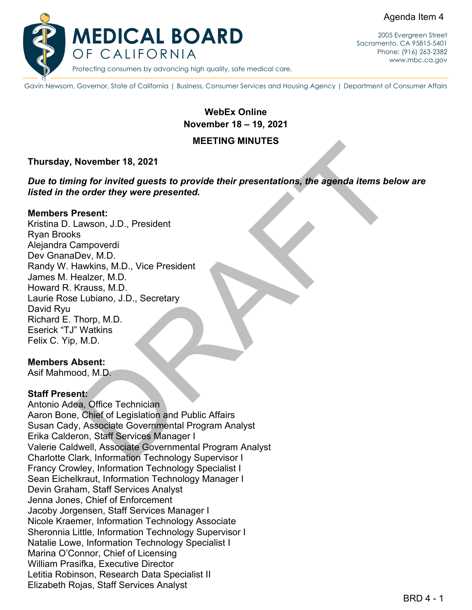Agenda Item 4



2005 Evergreen Street Sacramento, CA 95815-5401 Phone: (916) 263-2382 [www.mbc.ca.gov](http://www.mbc.ca.gov/)

Gavin Newsom, Governor, State of California | Business, Consumer Services and Housing Agency | Department of Consumer Affairs

**WebEx Online November 18 – 19, 2021**

### **MEETING MINUTES**

### **Thursday, November 18, 2021**

*Due to timing for invited guests to provide their presentations, the agenda items below are listed in the order they were presented.*

### **Members Present:**

MEETING MINUTES<br>
MEETING MINUTES<br>
Ing for invited guests to provide their presentations, the agenda items below are<br>
resent:<br>
resent:<br>
a.wsion, J.D., President<br>
iampoverdi<br>
Dev, M.D.<br>
Rhappoverdi<br>
Cleaker, M.D.<br>
Krauss, M. Kristina D. Lawson, J.D., President Ryan Brooks Alejandra Campoverdi Dev GnanaDev, M.D. Randy W. Hawkins, M.D., Vice President James M. Healzer, M.D. Howard R. Krauss, M.D. Laurie Rose Lubiano, J.D., Secretary David Ryu Richard E. Thorp, M.D. Eserick "TJ" Watkins Felix C. Yip, M.D.

### **Members Absent:**

Asif Mahmood, M.D.

### **Staff Present:**

Antonio Adea, Office Technician Aaron Bone, Chief of Legislation and Public Affairs Susan Cady, Associate Governmental Program Analyst Erika Calderon, Staff Services Manager I Valerie Caldwell, Associate Governmental Program Analyst Charlotte Clark, Information Technology Supervisor I Francy Crowley, Information Technology Specialist I Sean Eichelkraut, Information Technology Manager I Devin Graham, Staff Services Analyst Jenna Jones, Chief of Enforcement Jacoby Jorgensen, Staff Services Manager I Nicole Kraemer, Information Technology Associate Sheronnia Little, Information Technology Supervisor I Natalie Lowe, Information Technology Specialist I Marina O'Connor, Chief of Licensing William Prasifka, Executive Director Letitia Robinson, Research Data Specialist II Elizabeth Rojas, Staff Services Analyst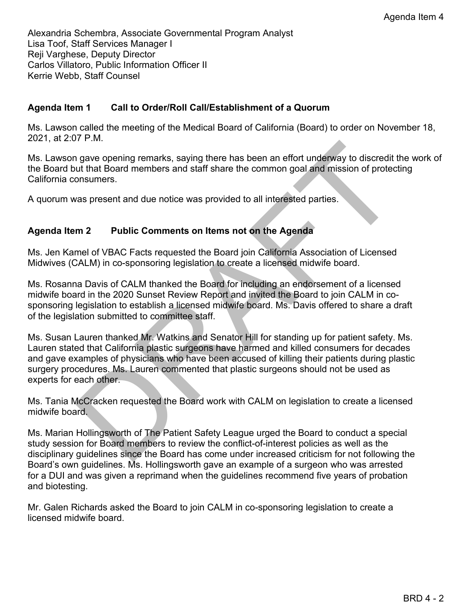Alexandria Schembra, Associate Governmental Program Analyst Lisa Toof, Staff Services Manager I Reji Varghese, Deputy Director Carlos Villatoro, Public Information Officer II Kerrie Webb, Staff Counsel

# **Agenda Item 1 Call to Order/Roll Call/Establishment of a Quorum**

Ms. Lawson called the meeting of the Medical Board of California (Board) to order on November 18, 2021, at 2:07 P.M.

Ms. Lawson gave opening remarks, saying there has been an effort underway to discredit the work of the Board but that Board members and staff share the common goal and mission of protecting California consumers.

A quorum was present and due notice was provided to all interested parties.

## **Agenda Item 2 Public Comments on Items not on the Agenda**

Ms. Jen Kamel of VBAC Facts requested the Board join California Association of Licensed Midwives (CALM) in co-sponsoring legislation to create a licensed midwife board.

Ms. Rosanna Davis of CALM thanked the Board for including an endorsement of a licensed midwife board in the 2020 Sunset Review Report and invited the Board to join CALM in cosponsoring legislation to establish a licensed midwife board. Ms. Davis offered to share a draft of the legislation submitted to committee staff.

The comparing remarks, saying there has been an effort underway to discredit the w<br>ut that Board members and staff share the common goal and mission of protecting<br>onsumers.<br>
The same of the comments on them shot on the Age Ms. Susan Lauren thanked Mr. Watkins and Senator Hill for standing up for patient safety. Ms. Lauren stated that California plastic surgeons have harmed and killed consumers for decades and gave examples of physicians who have been accused of killing their patients during plastic surgery procedures. Ms. Lauren commented that plastic surgeons should not be used as experts for each other.

Ms. Tania McCracken requested the Board work with CALM on legislation to create a licensed midwife board.

Ms. Marian Hollingsworth of The Patient Safety League urged the Board to conduct a special study session for Board members to review the conflict-of-interest policies as well as the disciplinary guidelines since the Board has come under increased criticism for not following the Board's own guidelines. Ms. Hollingsworth gave an example of a surgeon who was arrested for a DUI and was given a reprimand when the guidelines recommend five years of probation and biotesting.

Mr. Galen Richards asked the Board to join CALM in co-sponsoring legislation to create a licensed midwife board.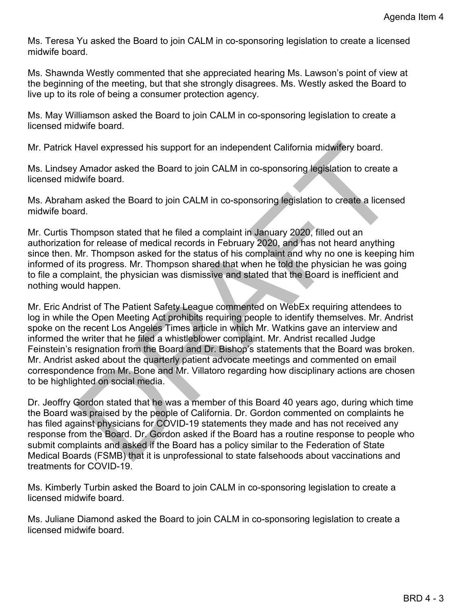Ms. Teresa Yu asked the Board to join CALM in co-sponsoring legislation to create a licensed midwife board.

Ms. Shawnda Westly commented that she appreciated hearing Ms. Lawson's point of view at the beginning of the meeting, but that she strongly disagrees. Ms. Westly asked the Board to live up to its role of being a consumer protection agency.

Ms. May Williamson asked the Board to join CALM in co-sponsoring legislation to create a licensed midwife board.

Mr. Patrick Havel expressed his support for an independent California midwifery board.

Ms. Lindsey Amador asked the Board to join CALM in co-sponsoring legislation to create a licensed midwife board.

Ms. Abraham asked the Board to join CALM in co-sponsoring legislation to create a licensed midwife board.

Mr. Curtis Thompson stated that he filed a complaint in January 2020, filled out an authorization for release of medical records in February 2020, and has not heard anything since then. Mr. Thompson asked for the status of his complaint and why no one is keeping him informed of its progress. Mr. Thompson shared that when he told the physician he was going to file a complaint, the physician was dismissive and stated that the Board is inefficient and nothing would happen.

Havel expressed his support for an independent California midwitery board.<br>
V Amador asked the Board to join CALM in co-sponsoring legislation to create a<br>
dwife board.<br>
The masked the Board to join CALM in co-sponsoring l Mr. Eric Andrist of The Patient Safety League commented on WebEx requiring attendees to log in while the Open Meeting Act prohibits requiring people to identify themselves. Mr. Andrist spoke on the recent Los Angeles Times article in which Mr. Watkins gave an interview and informed the writer that he filed a whistleblower complaint. Mr. Andrist recalled Judge Feinstein's resignation from the Board and Dr. Bishop's statements that the Board was broken. Mr. Andrist asked about the quarterly patient advocate meetings and commented on email correspondence from Mr. Bone and Mr. Villatoro regarding how disciplinary actions are chosen to be highlighted on social media.

Dr. Jeoffry Gordon stated that he was a member of this Board 40 years ago, during which time the Board was praised by the people of California. Dr. Gordon commented on complaints he has filed against physicians for COVID-19 statements they made and has not received any response from the Board. Dr. Gordon asked if the Board has a routine response to people who submit complaints and asked if the Board has a policy similar to the Federation of State Medical Boards (FSMB) that it is unprofessional to state falsehoods about vaccinations and treatments for COVID-19.

Ms. Kimberly Turbin asked the Board to join CALM in co-sponsoring legislation to create a licensed midwife board.

Ms. Juliane Diamond asked the Board to join CALM in co-sponsoring legislation to create a licensed midwife board.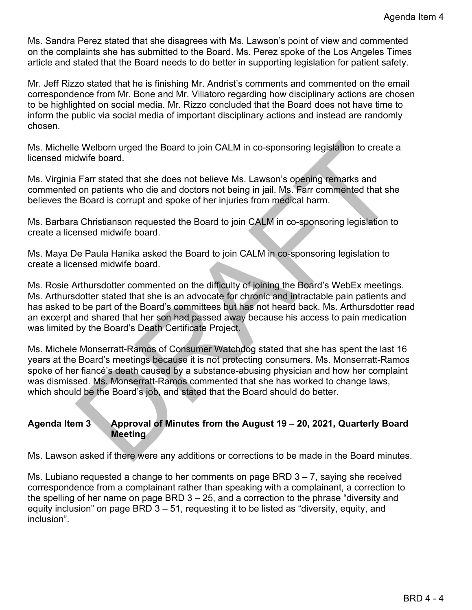Ms. Sandra Perez stated that she disagrees with Ms. Lawson's point of view and commented on the complaints she has submitted to the Board. Ms. Perez spoke of the Los Angeles Times article and stated that the Board needs to do better in supporting legislation for patient safety.

Mr. Jeff Rizzo stated that he is finishing Mr. Andrist's comments and commented on the email correspondence from Mr. Bone and Mr. Villatoro regarding how disciplinary actions are chosen to be highlighted on social media. Mr. Rizzo concluded that the Board does not have time to inform the public via social media of important disciplinary actions and instead are randomly chosen.

Ms. Michelle Welborn urged the Board to join CALM in co-sponsoring legislation to create a licensed midwife board.

Ms. Virginia Farr stated that she does not believe Ms. Lawson's opening remarks and commented on patients who die and doctors not being in jail. Ms. Farr commented that she believes the Board is corrupt and spoke of her injuries from medical harm.

Ms. Barbara Christianson requested the Board to join CALM in co-sponsoring legislation to create a licensed midwife board.

Ms. Maya De Paula Hanika asked the Board to join CALM in co-sponsoring legislation to create a licensed midwife board.

e Welborn urged the Board to join CALM in co-sponsoring legislation to create a<br>dwife board.<br>Farr stated that she does not believe Ms. Lawson's opening remarks and<br>farr stated that she does not believe Ms. Lawson's opening Ms. Rosie Arthursdotter commented on the difficulty of joining the Board's WebEx meetings. Ms. Arthursdotter stated that she is an advocate for chronic and intractable pain patients and has asked to be part of the Board's committees but has not heard back. Ms. Arthursdotter read an excerpt and shared that her son had passed away because his access to pain medication was limited by the Board's Death Certificate Project.

Ms. Michele Monserratt-Ramos of Consumer Watchdog stated that she has spent the last 16 years at the Board's meetings because it is not protecting consumers. Ms. Monserratt-Ramos spoke of her fiancé's death caused by a substance-abusing physician and how her complaint was dismissed. Ms. Monserratt-Ramos commented that she has worked to change laws, which should be the Board's job, and stated that the Board should do better.

## **Agenda Item 3 Approval of Minutes from the August 19 – 20, 2021, Quarterly Board Meeting**

Ms. Lawson asked if there were any additions or corrections to be made in the Board minutes.

Ms. Lubiano requested a change to her comments on page BRD  $3 - 7$ , saying she received correspondence from a complainant rather than speaking with a complainant, a correction to the spelling of her name on page BRD 3 – 25, and a correction to the phrase "diversity and equity inclusion" on page BRD 3 – 51, requesting it to be listed as "diversity, equity, and inclusion".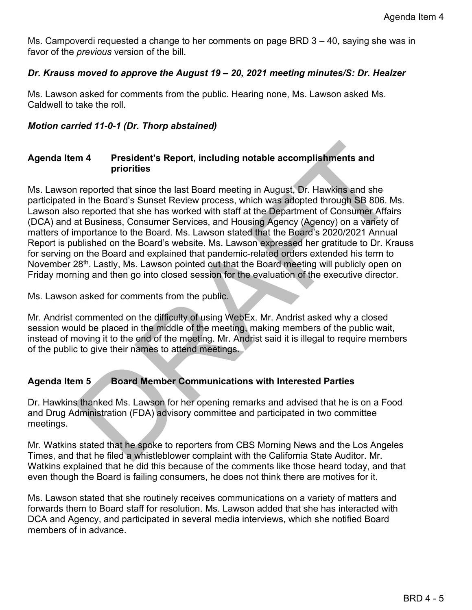Ms. Campoverdi requested a change to her comments on page BRD 3 – 40, saying she was in favor of the *previous* version of the bill.

# *Dr. Krauss moved to approve the August 19 – 20, 2021 meeting minutes/S: Dr. Healzer*

Ms. Lawson asked for comments from the public. Hearing none, Ms. Lawson asked Ms. Caldwell to take the roll.

# *Motion carried 11-0-1 (Dr. Thorp abstained)*

## **Agenda Item 4 President's Report, including notable accomplishments and priorities**

**m 4** President's Report, including notable accomplishments and<br>priorities<br>reported that since the last Board meeting in August, Dr. Hawkins and she<br>in the Board's Sunset Review process, which was adopted through SB 806. Ms. Lawson reported that since the last Board meeting in August, Dr. Hawkins and she participated in the Board's Sunset Review process, which was adopted through SB 806. Ms. Lawson also reported that she has worked with staff at the Department of Consumer Affairs (DCA) and at Business, Consumer Services, and Housing Agency (Agency) on a variety of matters of importance to the Board. Ms. Lawson stated that the Board's 2020/2021 Annual Report is published on the Board's website. Ms. Lawson expressed her gratitude to Dr. Krauss for serving on the Board and explained that pandemic-related orders extended his term to November 28<sup>th</sup>. Lastly, Ms. Lawson pointed out that the Board meeting will publicly open on Friday morning and then go into closed session for the evaluation of the executive director.

Ms. Lawson asked for comments from the public.

Mr. Andrist commented on the difficulty of using WebEx. Mr. Andrist asked why a closed session would be placed in the middle of the meeting, making members of the public wait, instead of moving it to the end of the meeting. Mr. Andrist said it is illegal to require members of the public to give their names to attend meetings.

# **Agenda Item 5 Board Member Communications with Interested Parties**

Dr. Hawkins thanked Ms. Lawson for her opening remarks and advised that he is on a Food and Drug Administration (FDA) advisory committee and participated in two committee meetings.

Mr. Watkins stated that he spoke to reporters from CBS Morning News and the Los Angeles Times, and that he filed a whistleblower complaint with the California State Auditor. Mr. Watkins explained that he did this because of the comments like those heard today, and that even though the Board is failing consumers, he does not think there are motives for it.

Ms. Lawson stated that she routinely receives communications on a variety of matters and forwards them to Board staff for resolution. Ms. Lawson added that she has interacted with DCA and Agency, and participated in several media interviews, which she notified Board members of in advance.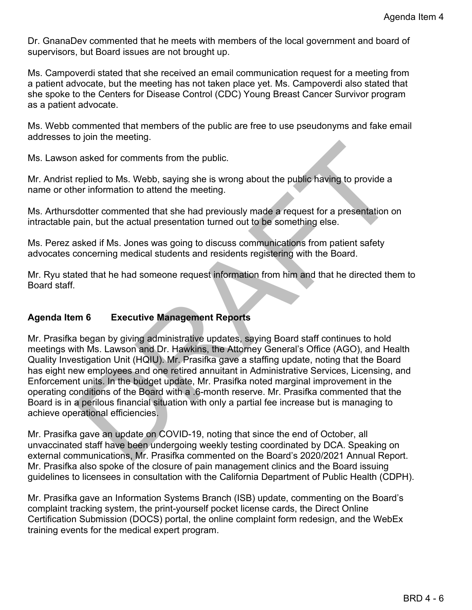Dr. GnanaDev commented that he meets with members of the local government and board of supervisors, but Board issues are not brought up.

Ms. Campoverdi stated that she received an email communication request for a meeting from a patient advocate, but the meeting has not taken place yet. Ms. Campoverdi also stated that she spoke to the Centers for Disease Control (CDC) Young Breast Cancer Survivor program as a patient advocate.

Ms. Webb commented that members of the public are free to use pseudonyms and fake email addresses to join the meeting.

Ms. Lawson asked for comments from the public.

Mr. Andrist replied to Ms. Webb, saying she is wrong about the public having to provide a name or other information to attend the meeting.

Ms. Arthursdotter commented that she had previously made a request for a presentation on intractable pain, but the actual presentation turned out to be something else.

Ms. Perez asked if Ms. Jones was going to discuss communications from patient safety advocates concerning medical students and residents registering with the Board.

Mr. Ryu stated that he had someone request information from him and that he directed them to Board staff.

## **Agenda Item 6 Executive Management Reports**

n asked for comments from the public.<br>
The public having she is wrong about the public having to provide a<br>
rer information to attend the meeting.<br>
dotter commented that she had previously made a request for a presentation Mr. Prasifka began by giving administrative updates, saying Board staff continues to hold meetings with Ms. Lawson and Dr. Hawkins, the Attorney General's Office (AGO), and Health Quality Investigation Unit (HQIU). Mr. Prasifka gave a staffing update, noting that the Board has eight new employees and one retired annuitant in Administrative Services, Licensing, and Enforcement units. In the budget update, Mr. Prasifka noted marginal improvement in the operating conditions of the Board with a .6-month reserve. Mr. Prasifka commented that the Board is in a perilous financial situation with only a partial fee increase but is managing to achieve operational efficiencies.

Mr. Prasifka gave an update on COVID-19, noting that since the end of October, all unvaccinated staff have been undergoing weekly testing coordinated by DCA. Speaking on external communications, Mr. Prasifka commented on the Board's 2020/2021 Annual Report. Mr. Prasifka also spoke of the closure of pain management clinics and the Board issuing guidelines to licensees in consultation with the California Department of Public Health (CDPH).

Mr. Prasifka gave an Information Systems Branch (ISB) update, commenting on the Board's complaint tracking system, the print-yourself pocket license cards, the Direct Online Certification Submission (DOCS) portal, the online complaint form redesign, and the WebEx training events for the medical expert program.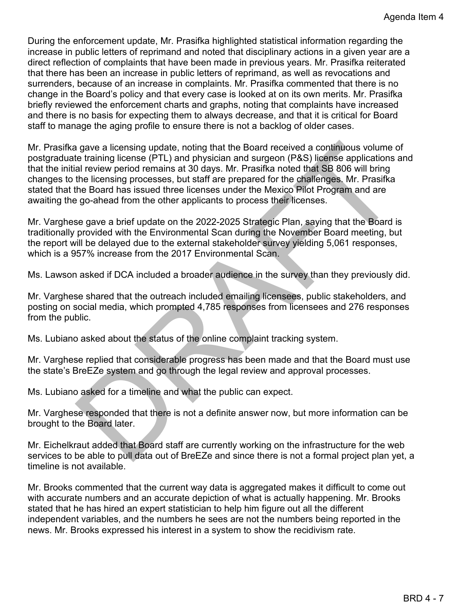During the enforcement update, Mr. Prasifka highlighted statistical information regarding the increase in public letters of reprimand and noted that disciplinary actions in a given year are a direct reflection of complaints that have been made in previous years. Mr. Prasifka reiterated that there has been an increase in public letters of reprimand, as well as revocations and surrenders, because of an increase in complaints. Mr. Prasifka commented that there is no change in the Board's policy and that every case is looked at on its own merits. Mr. Prasifka briefly reviewed the enforcement charts and graphs, noting that complaints have increased and there is no basis for expecting them to always decrease, and that it is critical for Board staff to manage the aging profile to ensure there is not a backlog of older cases.

n gave a licensing update, noting that the Board received a continuous volume of<br>the training license (PTL) and physician and surgeon (PRS) license applications and<br>al review period remains at 30 days. Mr. Prasifika noted Mr. Prasifka gave a licensing update, noting that the Board received a continuous volume of postgraduate training license (PTL) and physician and surgeon (P&S) license applications and that the initial review period remains at 30 days. Mr. Prasifka noted that SB 806 will bring changes to the licensing processes, but staff are prepared for the challenges. Mr. Prasifka stated that the Board has issued three licenses under the Mexico Pilot Program and are awaiting the go-ahead from the other applicants to process their licenses.

Mr. Varghese gave a brief update on the 2022-2025 Strategic Plan, saying that the Board is traditionally provided with the Environmental Scan during the November Board meeting, but the report will be delayed due to the external stakeholder survey yielding 5,061 responses, which is a 957% increase from the 2017 Environmental Scan.

Ms. Lawson asked if DCA included a broader audience in the survey than they previously did.

Mr. Varghese shared that the outreach included emailing licensees, public stakeholders, and posting on social media, which prompted 4,785 responses from licensees and 276 responses from the public.

Ms. Lubiano asked about the status of the online complaint tracking system.

Mr. Varghese replied that considerable progress has been made and that the Board must use the state's BreEZe system and go through the legal review and approval processes.

Ms. Lubiano asked for a timeline and what the public can expect.

Mr. Varghese responded that there is not a definite answer now, but more information can be brought to the Board later.

Mr. Eichelkraut added that Board staff are currently working on the infrastructure for the web services to be able to pull data out of BreEZe and since there is not a formal project plan yet, a timeline is not available.

Mr. Brooks commented that the current way data is aggregated makes it difficult to come out with accurate numbers and an accurate depiction of what is actually happening. Mr. Brooks stated that he has hired an expert statistician to help him figure out all the different independent variables, and the numbers he sees are not the numbers being reported in the news. Mr. Brooks expressed his interest in a system to show the recidivism rate.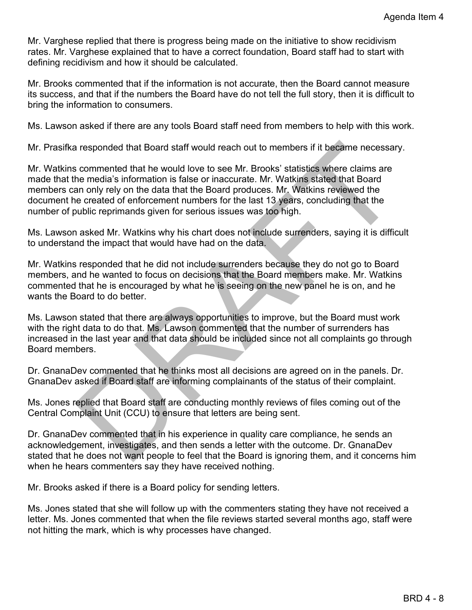Mr. Varghese replied that there is progress being made on the initiative to show recidivism rates. Mr. Varghese explained that to have a correct foundation, Board staff had to start with defining recidivism and how it should be calculated.

Mr. Brooks commented that if the information is not accurate, then the Board cannot measure its success, and that if the numbers the Board have do not tell the full story, then it is difficult to bring the information to consumers.

Ms. Lawson asked if there are any tools Board staff need from members to help with this work.

Mr. Prasifka responded that Board staff would reach out to members if it became necessary.

responded that Board staff would reach out to members if it became necessary.<br>
commented that he would love to see Mr. Brooks' statistics where claims are<br>
he media's information is false or inaccurate. Mr. Watkins stated Mr. Watkins commented that he would love to see Mr. Brooks' statistics where claims are made that the media's information is false or inaccurate. Mr. Watkins stated that Board members can only rely on the data that the Board produces. Mr. Watkins reviewed the document he created of enforcement numbers for the last 13 years, concluding that the number of public reprimands given for serious issues was too high.

Ms. Lawson asked Mr. Watkins why his chart does not include surrenders, saying it is difficult to understand the impact that would have had on the data.

Mr. Watkins responded that he did not include surrenders because they do not go to Board members, and he wanted to focus on decisions that the Board members make. Mr. Watkins commented that he is encouraged by what he is seeing on the new panel he is on, and he wants the Board to do better.

Ms. Lawson stated that there are always opportunities to improve, but the Board must work with the right data to do that. Ms. Lawson commented that the number of surrenders has increased in the last year and that data should be included since not all complaints go through Board members.

Dr. GnanaDev commented that he thinks most all decisions are agreed on in the panels. Dr. GnanaDev asked if Board staff are informing complainants of the status of their complaint.

Ms. Jones replied that Board staff are conducting monthly reviews of files coming out of the Central Complaint Unit (CCU) to ensure that letters are being sent.

Dr. GnanaDev commented that in his experience in quality care compliance, he sends an acknowledgement, investigates, and then sends a letter with the outcome. Dr. GnanaDev stated that he does not want people to feel that the Board is ignoring them, and it concerns him when he hears commenters say they have received nothing.

Mr. Brooks asked if there is a Board policy for sending letters.

Ms. Jones stated that she will follow up with the commenters stating they have not received a letter. Ms. Jones commented that when the file reviews started several months ago, staff were not hitting the mark, which is why processes have changed.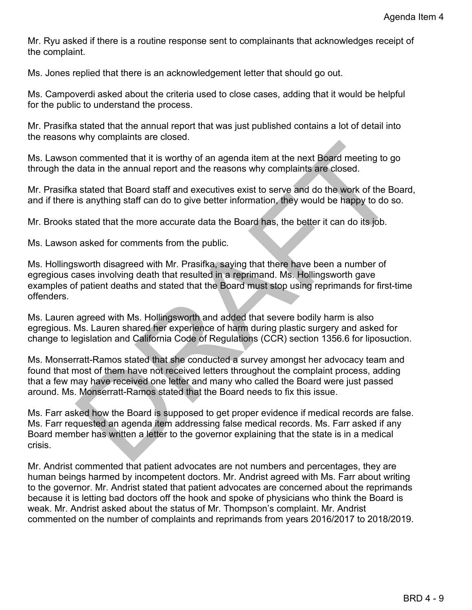Mr. Ryu asked if there is a routine response sent to complainants that acknowledges receipt of the complaint.

Ms. Jones replied that there is an acknowledgement letter that should go out.

Ms. Campoverdi asked about the criteria used to close cases, adding that it would be helpful for the public to understand the process.

Mr. Prasifka stated that the annual report that was just published contains a lot of detail into the reasons why complaints are closed.

Ms. Lawson commented that it is worthy of an agenda item at the next Board meeting to go through the data in the annual report and the reasons why complaints are closed.

Mr. Prasifka stated that Board staff and executives exist to serve and do the work of the Board, and if there is anything staff can do to give better information, they would be happy to do so.

Mr. Brooks stated that the more accurate data the Board has, the better it can do its job.

Ms. Lawson asked for comments from the public.

n commented that it is worthy of an agenda item at the next Board meeting to go<br>data in the annual report and the reasons why complaints are closed.<br>
In stated that Board staff and executives exist to serve and do the work Ms. Hollingsworth disagreed with Mr. Prasifka, saying that there have been a number of egregious cases involving death that resulted in a reprimand. Ms. Hollingsworth gave examples of patient deaths and stated that the Board must stop using reprimands for first-time offenders.

Ms. Lauren agreed with Ms. Hollingsworth and added that severe bodily harm is also egregious. Ms. Lauren shared her experience of harm during plastic surgery and asked for change to legislation and California Code of Regulations (CCR) section 1356.6 for liposuction.

Ms. Monserratt-Ramos stated that she conducted a survey amongst her advocacy team and found that most of them have not received letters throughout the complaint process, adding that a few may have received one letter and many who called the Board were just passed around. Ms. Monserratt-Ramos stated that the Board needs to fix this issue.

Ms. Farr asked how the Board is supposed to get proper evidence if medical records are false. Ms. Farr requested an agenda item addressing false medical records. Ms. Farr asked if any Board member has written a letter to the governor explaining that the state is in a medical crisis.

Mr. Andrist commented that patient advocates are not numbers and percentages, they are human beings harmed by incompetent doctors. Mr. Andrist agreed with Ms. Farr about writing to the governor. Mr. Andrist stated that patient advocates are concerned about the reprimands because it is letting bad doctors off the hook and spoke of physicians who think the Board is weak. Mr. Andrist asked about the status of Mr. Thompson's complaint. Mr. Andrist commented on the number of complaints and reprimands from years 2016/2017 to 2018/2019.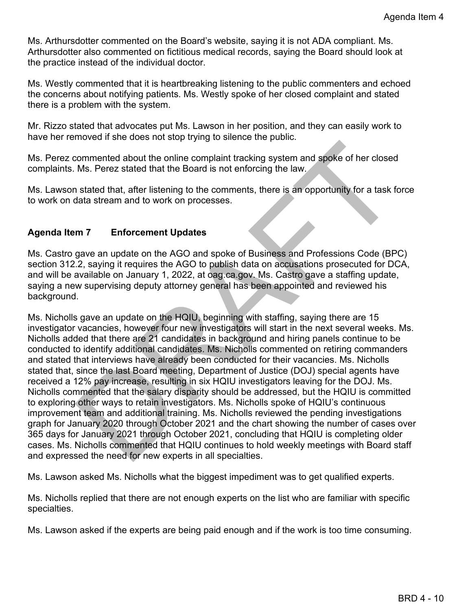Ms. Arthursdotter commented on the Board's website, saying it is not ADA compliant. Ms. Arthursdotter also commented on fictitious medical records, saying the Board should look at the practice instead of the individual doctor.

Ms. Westly commented that it is heartbreaking listening to the public commenters and echoed the concerns about notifying patients. Ms. Westly spoke of her closed complaint and stated there is a problem with the system.

Mr. Rizzo stated that advocates put Ms. Lawson in her position, and they can easily work to have her removed if she does not stop trying to silence the public.

Ms. Perez commented about the online complaint tracking system and spoke of her closed complaints. Ms. Perez stated that the Board is not enforcing the law.

Ms. Lawson stated that, after listening to the comments, there is an opportunity for a task force to work on data stream and to work on processes.

# **Agenda Item 7 Enforcement Updates**

Ms. Castro gave an update on the AGO and spoke of Business and Professions Code (BPC) section 312.2, saying it requires the AGO to publish data on accusations prosecuted for DCA, and will be available on January 1, 2022, at oag.ca.gov. Ms. Castro gave a staffing update, saying a new supervising deputy attorney general has been appointed and reviewed his background.

commented about the online complaint tracking system and spoke of her closed<br>Ms. Perez stated that the Board is not enforcing the law.<br>
In stated that, after listening to the comments, there is an opportunity for a task fo Ms. Nicholls gave an update on the HQIU, beginning with staffing, saying there are 15 investigator vacancies, however four new investigators will start in the next several weeks. Ms. Nicholls added that there are 21 candidates in background and hiring panels continue to be conducted to identify additional candidates. Ms. Nicholls commented on retiring commanders and stated that interviews have already been conducted for their vacancies. Ms. Nicholls stated that, since the last Board meeting, Department of Justice (DOJ) special agents have received a 12% pay increase, resulting in six HQIU investigators leaving for the DOJ. Ms. Nicholls commented that the salary disparity should be addressed, but the HQIU is committed to exploring other ways to retain investigators. Ms. Nicholls spoke of HQIU's continuous improvement team and additional training. Ms. Nicholls reviewed the pending investigations graph for January 2020 through October 2021 and the chart showing the number of cases over 365 days for January 2021 through October 2021, concluding that HQIU is completing older cases. Ms. Nicholls commented that HQIU continues to hold weekly meetings with Board staff and expressed the need for new experts in all specialties.

Ms. Lawson asked Ms. Nicholls what the biggest impediment was to get qualified experts.

Ms. Nicholls replied that there are not enough experts on the list who are familiar with specific specialties.

Ms. Lawson asked if the experts are being paid enough and if the work is too time consuming.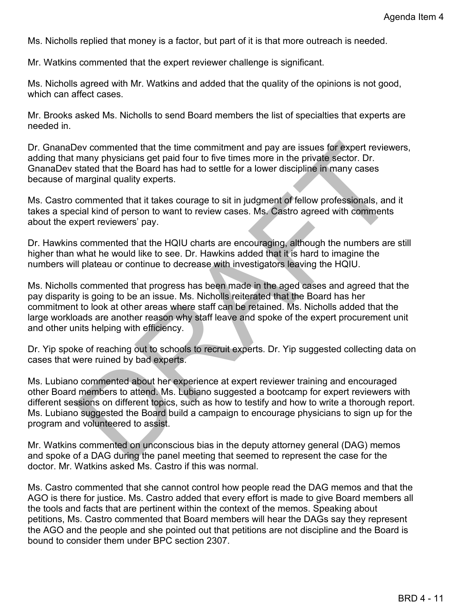Ms. Nicholls replied that money is a factor, but part of it is that more outreach is needed.

Mr. Watkins commented that the expert reviewer challenge is significant.

Ms. Nicholls agreed with Mr. Watkins and added that the quality of the opinions is not good, which can affect cases.

Mr. Brooks asked Ms. Nicholls to send Board members the list of specialties that experts are needed in.

Dr. GnanaDev commented that the time commitment and pay are issues for expert reviewers, adding that many physicians get paid four to five times more in the private sector. Dr. GnanaDev stated that the Board has had to settle for a lower discipline in many cases because of marginal quality experts.

Ms. Castro commented that it takes courage to sit in judgment of fellow professionals, and it takes a special kind of person to want to review cases. Ms. Castro agreed with comments about the expert reviewers' pay.

Dr. Hawkins commented that the HQIU charts are encouraging, although the numbers are still higher than what he would like to see. Dr. Hawkins added that it is hard to imagine the numbers will plateau or continue to decrease with investigators leaving the HQIU.

Ms. Nicholls commented that progress has been made in the aged cases and agreed that the pay disparity is going to be an issue. Ms. Nicholls reiterated that the Board has her commitment to look at other areas where staff can be retained. Ms. Nicholls added that the large workloads are another reason why staff leave and spoke of the expert procurement unit and other units helping with efficiency.

Dr. Yip spoke of reaching out to schools to recruit experts. Dr. Yip suggested collecting data on cases that were ruined by bad experts.

New commented that the time commitment and pay are issues for expert reviewers,<br>many physicians get paid four to five times more in the private sector. Dr.<br>trated that the Board has had to settle for a lower discipline in Ms. Lubiano commented about her experience at expert reviewer training and encouraged other Board members to attend. Ms. Lubiano suggested a bootcamp for expert reviewers with different sessions on different topics, such as how to testify and how to write a thorough report. Ms. Lubiano suggested the Board build a campaign to encourage physicians to sign up for the program and volunteered to assist.

Mr. Watkins commented on unconscious bias in the deputy attorney general (DAG) memos and spoke of a DAG during the panel meeting that seemed to represent the case for the doctor. Mr. Watkins asked Ms. Castro if this was normal.

Ms. Castro commented that she cannot control how people read the DAG memos and that the AGO is there for justice. Ms. Castro added that every effort is made to give Board members all the tools and facts that are pertinent within the context of the memos. Speaking about petitions, Ms. Castro commented that Board members will hear the DAGs say they represent the AGO and the people and she pointed out that petitions are not discipline and the Board is bound to consider them under BPC section 2307.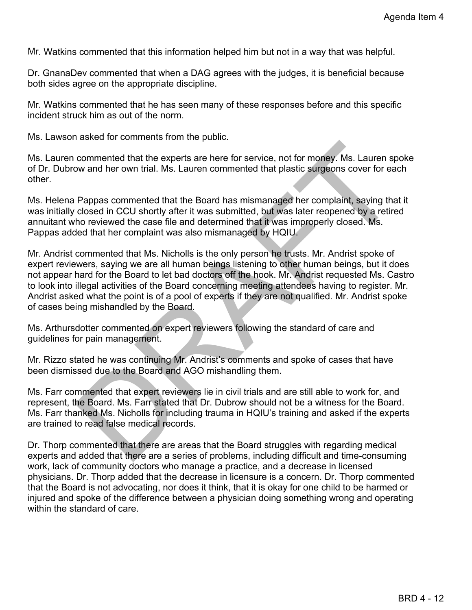Mr. Watkins commented that this information helped him but not in a way that was helpful.

Dr. GnanaDev commented that when a DAG agrees with the judges, it is beneficial because both sides agree on the appropriate discipline.

Mr. Watkins commented that he has seen many of these responses before and this specific incident struck him as out of the norm.

Ms. Lawson asked for comments from the public.

Ms. Lauren commented that the experts are here for service, not for money. Ms. Lauren spoke of Dr. Dubrow and her own trial. Ms. Lauren commented that plastic surgeons cover for each other.

Ms. Helena Pappas commented that the Board has mismanaged her complaint, saying that it was initially closed in CCU shortly after it was submitted, but was later reopened by a retired annuitant who reviewed the case file and determined that it was improperly closed. Ms. Pappas added that her complaint was also mismanaged by HQIU.

commented that the experts are here for service, not for money. Ms. Lauren spoke<br>ow and her own trial. Ms. Lauren commented that plastic surgeons cover for each<br>Pappas commented that the Board has mismanaged her complaint, Mr. Andrist commented that Ms. Nicholls is the only person he trusts. Mr. Andrist spoke of expert reviewers, saying we are all human beings listening to other human beings, but it does not appear hard for the Board to let bad doctors off the hook. Mr. Andrist requested Ms. Castro to look into illegal activities of the Board concerning meeting attendees having to register. Mr. Andrist asked what the point is of a pool of experts if they are not qualified. Mr. Andrist spoke of cases being mishandled by the Board.

Ms. Arthursdotter commented on expert reviewers following the standard of care and guidelines for pain management.

Mr. Rizzo stated he was continuing Mr. Andrist's comments and spoke of cases that have been dismissed due to the Board and AGO mishandling them.

Ms. Farr commented that expert reviewers lie in civil trials and are still able to work for, and represent, the Board. Ms. Farr stated that Dr. Dubrow should not be a witness for the Board. Ms. Farr thanked Ms. Nicholls for including trauma in HQIU's training and asked if the experts are trained to read false medical records.

Dr. Thorp commented that there are areas that the Board struggles with regarding medical experts and added that there are a series of problems, including difficult and time-consuming work, lack of community doctors who manage a practice, and a decrease in licensed physicians. Dr. Thorp added that the decrease in licensure is a concern. Dr. Thorp commented that the Board is not advocating, nor does it think, that it is okay for one child to be harmed or injured and spoke of the difference between a physician doing something wrong and operating within the standard of care.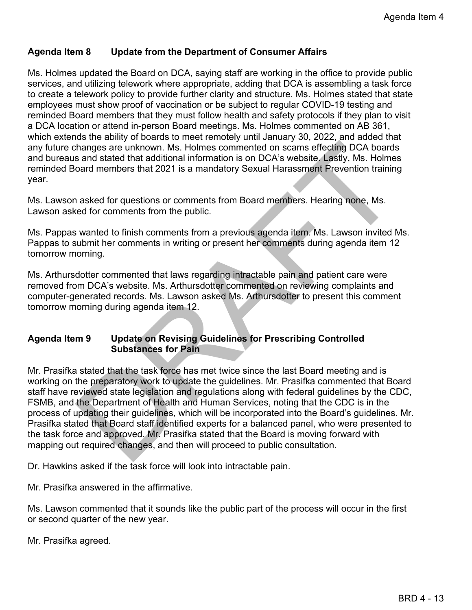# **Agenda Item 8 Update from the Department of Consumer Affairs**

Ms. Holmes updated the Board on DCA, saying staff are working in the office to provide public services, and utilizing telework where appropriate, adding that DCA is assembling a task force to create a telework policy to provide further clarity and structure. Ms. Holmes stated that state employees must show proof of vaccination or be subject to regular COVID-19 testing and reminded Board members that they must follow health and safety protocols if they plan to visit a DCA location or attend in-person Board meetings. Ms. Holmes commented on AB 361, which extends the ability of boards to meet remotely until January 30, 2022, and added that any future changes are unknown. Ms. Holmes commented on scams effecting DCA boards and bureaus and stated that additional information is on DCA's website. Lastly, Ms. Holmes reminded Board members that 2021 is a mandatory Sexual Harassment Prevention training year.

Ms. Lawson asked for questions or comments from Board members. Hearing none, Ms. Lawson asked for comments from the public.

Ms. Pappas wanted to finish comments from a previous agenda item. Ms. Lawson invited Ms. Pappas to submit her comments in writing or present her comments during agenda item 12 tomorrow morning.

Ms. Arthursdotter commented that laws regarding intractable pain and patient care were removed from DCA's website. Ms. Arthursdotter commented on reviewing complaints and computer-generated records. Ms. Lawson asked Ms. Arthursdotter to present this comment tomorrow morning during agenda item 12.

## **Agenda Item 9 Update on Revising Guidelines for Prescribing Controlled Substances for Pain**

shanges are unknown. Ms. Holmes commented on scams effecting DCA boards<br>s and stated that additional information is on DCA's website. Lastly, Ms. Holmes<br>and members that 2021 is a mandatory Sexual Harassment Prevention tra Mr. Prasifka stated that the task force has met twice since the last Board meeting and is working on the preparatory work to update the guidelines. Mr. Prasifka commented that Board staff have reviewed state legislation and regulations along with federal guidelines by the CDC, FSMB, and the Department of Health and Human Services, noting that the CDC is in the process of updating their guidelines, which will be incorporated into the Board's guidelines. Mr. Prasifka stated that Board staff identified experts for a balanced panel, who were presented to the task force and approved. Mr. Prasifka stated that the Board is moving forward with mapping out required changes, and then will proceed to public consultation.

Dr. Hawkins asked if the task force will look into intractable pain.

Mr. Prasifka answered in the affirmative.

Ms. Lawson commented that it sounds like the public part of the process will occur in the first or second quarter of the new year.

Mr. Prasifka agreed.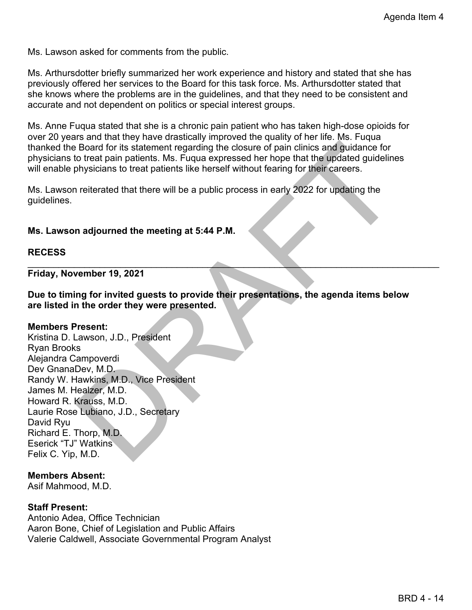Ms. Lawson asked for comments from the public.

Ms. Arthursdotter briefly summarized her work experience and history and stated that she has previously offered her services to the Board for this task force. Ms. Arthursdotter stated that she knows where the problems are in the guidelines, and that they need to be consistent and accurate and not dependent on politics or special interest groups.

Ms. Anne Fuqua stated that she is a chronic pain patient who has taken high-dose opioids for over 20 years and that they have drastically improved the quality of her life. Ms. Fuqua thanked the Board for its statement regarding the closure of pain clinics and guidance for physicians to treat pain patients. Ms. Fuqua expressed her hope that the updated guidelines will enable physicians to treat patients like herself without fearing for their careers.

Ms. Lawson reiterated that there will be a public process in early 2022 for updating the guidelines.

### **Ms. Lawson adjourned the meeting at 5:44 P.M.**

### **RECESS**

**Friday, November 19, 2021**

**Due to timing for invited guests to provide their presentations, the agenda items below are listed in the order they were presented.**

 $\mathcal{L}_\mathcal{L}$  , and the contribution of the contribution of the contribution of the contribution of the contribution of the contribution of the contribution of the contribution of the contribution of the contribution of

### **Members Present:**

Board for its statement regarding the closure of pain clinics and guidance for<br>the to treat pain palents. Ms. Fugue aspressed her hope that the updated guidelines<br>of terms and the positions will be a public process in earl Kristina D. Lawson, J.D., President Ryan Brooks Alejandra Campoverdi Dev GnanaDev, M.D. Randy W. Hawkins, M.D., Vice President James M. Healzer, M.D. Howard R. Krauss, M.D. Laurie Rose Lubiano, J.D., Secretary David Ryu Richard E. Thorp, M.D. Eserick "TJ" Watkins Felix C. Yip, M.D.

### **Members Absent:**

Asif Mahmood, M.D.

### **Staff Present:**

Antonio Adea, Office Technician Aaron Bone, Chief of Legislation and Public Affairs Valerie Caldwell, Associate Governmental Program Analyst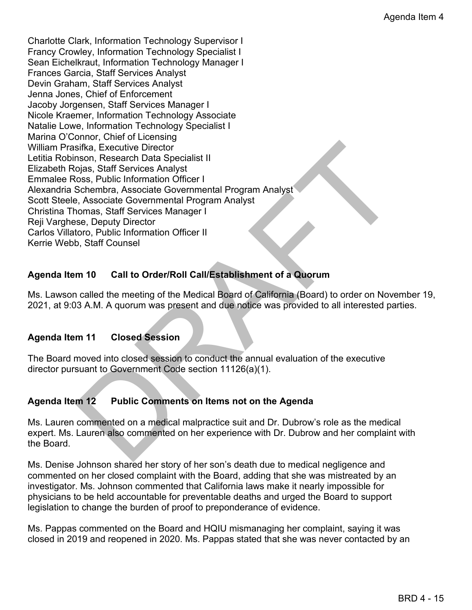sifka, Executive Director<br>
Signs, Starff Services Analyst<br>
Signs, Starff Services Analyst<br>
Signs, Starff Services Malyst<br>
Schembra, Associate Governmental Program Analyst<br>
DRAFT Services Manager I<br>
Schembra, Starff Service Charlotte Clark, Information Technology Supervisor I Francy Crowley, Information Technology Specialist I Sean Eichelkraut, Information Technology Manager I Frances Garcia, Staff Services Analyst Devin Graham, Staff Services Analyst Jenna Jones, Chief of Enforcement Jacoby Jorgensen, Staff Services Manager I Nicole Kraemer, Information Technology Associate Natalie Lowe, Information Technology Specialist I Marina O'Connor, Chief of Licensing William Prasifka, Executive Director Letitia Robinson, Research Data Specialist II Elizabeth Rojas, Staff Services Analyst Emmalee Ross, Public Information Officer I Alexandria Schembra, Associate Governmental Program Analyst Scott Steele, Associate Governmental Program Analyst Christina Thomas, Staff Services Manager I Reji Varghese, Deputy Director Carlos Villatoro, Public Information Officer II Kerrie Webb, Staff Counsel

# **Agenda Item 10 Call to Order/Roll Call/Establishment of a Quorum**

Ms. Lawson called the meeting of the Medical Board of California (Board) to order on November 19, 2021, at 9:03 A.M. A quorum was present and due notice was provided to all interested parties.

# **Agenda Item 11 Closed Session**

The Board moved into closed session to conduct the annual evaluation of the executive director pursuant to Government Code section 11126(a)(1).

# **Agenda Item 12 Public Comments on Items not on the Agenda**

Ms. Lauren commented on a medical malpractice suit and Dr. Dubrow's role as the medical expert. Ms. Lauren also commented on her experience with Dr. Dubrow and her complaint with the Board.

Ms. Denise Johnson shared her story of her son's death due to medical negligence and commented on her closed complaint with the Board, adding that she was mistreated by an investigator. Ms. Johnson commented that California laws make it nearly impossible for physicians to be held accountable for preventable deaths and urged the Board to support legislation to change the burden of proof to preponderance of evidence.

Ms. Pappas commented on the Board and HQIU mismanaging her complaint, saying it was closed in 2019 and reopened in 2020. Ms. Pappas stated that she was never contacted by an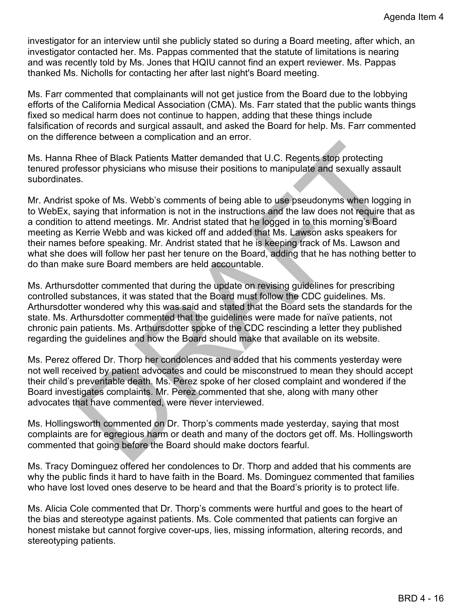investigator for an interview until she publicly stated so during a Board meeting, after which, an investigator contacted her. Ms. Pappas commented that the statute of limitations is nearing and was recently told by Ms. Jones that HQIU cannot find an expert reviewer. Ms. Pappas thanked Ms. Nicholls for contacting her after last night's Board meeting.

Ms. Farr commented that complainants will not get justice from the Board due to the lobbying efforts of the California Medical Association (CMA). Ms. Farr stated that the public wants things fixed so medical harm does not continue to happen, adding that these things include falsification of records and surgical assault, and asked the Board for help. Ms. Farr commented on the difference between a complication and an error.

Ms. Hanna Rhee of Black Patients Matter demanded that U.C. Regents stop protecting tenured professor physicians who misuse their positions to manipulate and sexually assault subordinates.

Rhee of Black Patients Matter demanded that U.C. Regents stop protecting<br>fessor physicians who misuse their positions to manipulate and sexually assault<br>s.<br>s.<br>s.<br>s.<br>s. spoke of Ms. Webb's comments of being able to use pseu Mr. Andrist spoke of Ms. Webb's comments of being able to use pseudonyms when logging in to WebEx, saying that information is not in the instructions and the law does not require that as a condition to attend meetings. Mr. Andrist stated that he logged in to this morning's Board meeting as Kerrie Webb and was kicked off and added that Ms. Lawson asks speakers for their names before speaking. Mr. Andrist stated that he is keeping track of Ms. Lawson and what she does will follow her past her tenure on the Board, adding that he has nothing better to do than make sure Board members are held accountable.

Ms. Arthursdotter commented that during the update on revising guidelines for prescribing controlled substances, it was stated that the Board must follow the CDC guidelines. Ms. Arthursdotter wondered why this was said and stated that the Board sets the standards for the state. Ms. Arthursdotter commented that the guidelines were made for naïve patients, not chronic pain patients. Ms. Arthursdotter spoke of the CDC rescinding a letter they published regarding the guidelines and how the Board should make that available on its website.

Ms. Perez offered Dr. Thorp her condolences and added that his comments yesterday were not well received by patient advocates and could be misconstrued to mean they should accept their child's preventable death. Ms. Perez spoke of her closed complaint and wondered if the Board investigates complaints. Mr. Perez commented that she, along with many other advocates that have commented, were never interviewed.

Ms. Hollingsworth commented on Dr. Thorp's comments made yesterday, saying that most complaints are for egregious harm or death and many of the doctors get off. Ms. Hollingsworth commented that going before the Board should make doctors fearful.

Ms. Tracy Dominguez offered her condolences to Dr. Thorp and added that his comments are why the public finds it hard to have faith in the Board. Ms. Dominguez commented that families who have lost loved ones deserve to be heard and that the Board's priority is to protect life.

Ms. Alicia Cole commented that Dr. Thorp's comments were hurtful and goes to the heart of the bias and stereotype against patients. Ms. Cole commented that patients can forgive an honest mistake but cannot forgive cover-ups, lies, missing information, altering records, and stereotyping patients.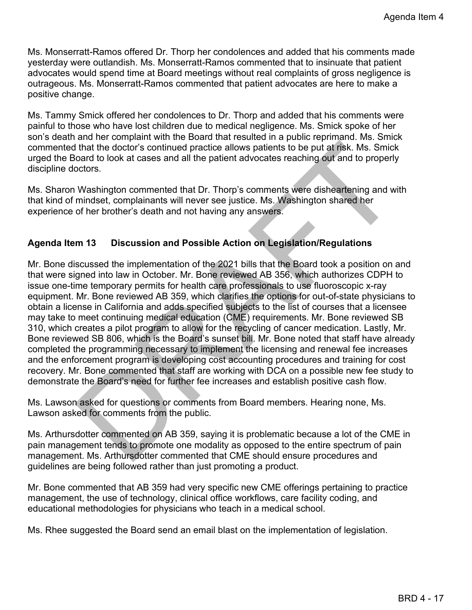Ms. Monserratt-Ramos offered Dr. Thorp her condolences and added that his comments made yesterday were outlandish. Ms. Monserratt-Ramos commented that to insinuate that patient advocates would spend time at Board meetings without real complaints of gross negligence is outrageous. Ms. Monserratt-Ramos commented that patient advocates are here to make a positive change.

Ms. Tammy Smick offered her condolences to Dr. Thorp and added that his comments were painful to those who have lost children due to medical negligence. Ms. Smick spoke of her son's death and her complaint with the Board that resulted in a public reprimand. Ms. Smick commented that the doctor's continued practice allows patients to be put at risk. Ms. Smick urged the Board to look at cases and all the patient advocates reaching out and to properly discipline doctors.

Ms. Sharon Washington commented that Dr. Thorp's comments were disheartening and with that kind of mindset, complainants will never see justice. Ms. Washington shared her experience of her brother's death and not having any answers.

# **Agenda Item 13 Discussion and Possible Action on Legislation/Regulations**

I that the doctor's continued practice allows patients to be put at risk. Ms. Smick<br>oard to look at cases and all the patient advocates reaching out and to properly<br>octors.<br>Washington commented that Dr. Thorp's comments we Mr. Bone discussed the implementation of the 2021 bills that the Board took a position on and that were signed into law in October. Mr. Bone reviewed AB 356, which authorizes CDPH to issue one-time temporary permits for health care professionals to use fluoroscopic x-ray equipment. Mr. Bone reviewed AB 359, which clarifies the options for out-of-state physicians to obtain a license in California and adds specified subjects to the list of courses that a licensee may take to meet continuing medical education (CME) requirements. Mr. Bone reviewed SB 310, which creates a pilot program to allow for the recycling of cancer medication. Lastly, Mr. Bone reviewed SB 806, which is the Board's sunset bill. Mr. Bone noted that staff have already completed the programming necessary to implement the licensing and renewal fee increases and the enforcement program is developing cost accounting procedures and training for cost recovery. Mr. Bone commented that staff are working with DCA on a possible new fee study to demonstrate the Board's need for further fee increases and establish positive cash flow.

Ms. Lawson asked for questions or comments from Board members. Hearing none, Ms. Lawson asked for comments from the public.

Ms. Arthursdotter commented on AB 359, saying it is problematic because a lot of the CME in pain management tends to promote one modality as opposed to the entire spectrum of pain management. Ms. Arthursdotter commented that CME should ensure procedures and guidelines are being followed rather than just promoting a product.

Mr. Bone commented that AB 359 had very specific new CME offerings pertaining to practice management, the use of technology, clinical office workflows, care facility coding, and educational methodologies for physicians who teach in a medical school.

Ms. Rhee suggested the Board send an email blast on the implementation of legislation.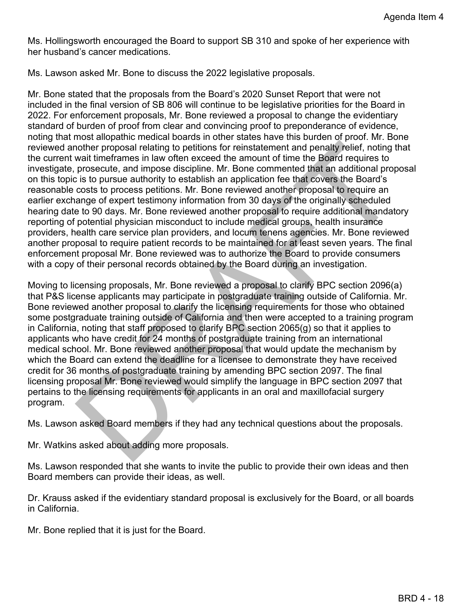Ms. Hollingsworth encouraged the Board to support SB 310 and spoke of her experience with her husband's cancer medications.

Ms. Lawson asked Mr. Bone to discuss the 2022 legislative proposals.

nother proposal relating to petitions for reinstatement and penalty relief, noting that was thirrefermes in law often exceld the amount of time the Board requires to prosecute, and impose discipline. Mr. Bone commented tha Mr. Bone stated that the proposals from the Board's 2020 Sunset Report that were not included in the final version of SB 806 will continue to be legislative priorities for the Board in 2022. For enforcement proposals, Mr. Bone reviewed a proposal to change the evidentiary standard of burden of proof from clear and convincing proof to preponderance of evidence, noting that most allopathic medical boards in other states have this burden of proof. Mr. Bone reviewed another proposal relating to petitions for reinstatement and penalty relief, noting that the current wait timeframes in law often exceed the amount of time the Board requires to investigate, prosecute, and impose discipline. Mr. Bone commented that an additional proposal on this topic is to pursue authority to establish an application fee that covers the Board's reasonable costs to process petitions. Mr. Bone reviewed another proposal to require an earlier exchange of expert testimony information from 30 days of the originally scheduled hearing date to 90 days. Mr. Bone reviewed another proposal to require additional mandatory reporting of potential physician misconduct to include medical groups, health insurance providers, health care service plan providers, and locum tenens agencies. Mr. Bone reviewed another proposal to require patient records to be maintained for at least seven years. The final enforcement proposal Mr. Bone reviewed was to authorize the Board to provide consumers with a copy of their personal records obtained by the Board during an investigation.

Moving to licensing proposals, Mr. Bone reviewed a proposal to clarify BPC section 2096(a) that P&S license applicants may participate in postgraduate training outside of California. Mr. Bone reviewed another proposal to clarify the licensing requirements for those who obtained some postgraduate training outside of California and then were accepted to a training program in California, noting that staff proposed to clarify BPC section 2065(g) so that it applies to applicants who have credit for 24 months of postgraduate training from an international medical school. Mr. Bone reviewed another proposal that would update the mechanism by which the Board can extend the deadline for a licensee to demonstrate they have received credit for 36 months of postgraduate training by amending BPC section 2097. The final licensing proposal Mr. Bone reviewed would simplify the language in BPC section 2097 that pertains to the licensing requirements for applicants in an oral and maxillofacial surgery program.

Ms. Lawson asked Board members if they had any technical questions about the proposals.

Mr. Watkins asked about adding more proposals.

Ms. Lawson responded that she wants to invite the public to provide their own ideas and then Board members can provide their ideas, as well.

Dr. Krauss asked if the evidentiary standard proposal is exclusively for the Board, or all boards in California.

Mr. Bone replied that it is just for the Board.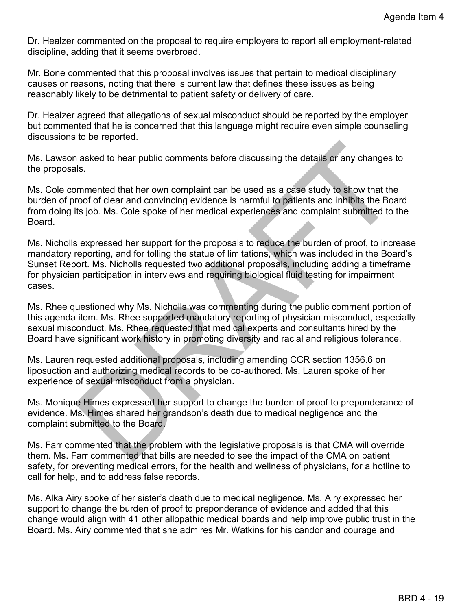Dr. Healzer commented on the proposal to require employers to report all employment-related discipline, adding that it seems overbroad.

Mr. Bone commented that this proposal involves issues that pertain to medical disciplinary causes or reasons, noting that there is current law that defines these issues as being reasonably likely to be detrimental to patient safety or delivery of care.

Dr. Healzer agreed that allegations of sexual misconduct should be reported by the employer but commented that he is concerned that this language might require even simple counseling discussions to be reported.

Ms. Lawson asked to hear public comments before discussing the details or any changes to the proposals.

Ms. Cole commented that her own complaint can be used as a case study to show that the burden of proof of clear and convincing evidence is harmful to patients and inhibits the Board from doing its job. Ms. Cole spoke of her medical experiences and complaint submitted to the **Board** 

n asked to hear public comments before discussing the details or any changes to<br>sls.<br>Sis.<br>Sis.<br>Demonstrated that the rown complaint can be used as a case study to show that the<br>roof of clear and convincing evidence is harm Ms. Nicholls expressed her support for the proposals to reduce the burden of proof, to increase mandatory reporting, and for tolling the statue of limitations, which was included in the Board's Sunset Report. Ms. Nicholls requested two additional proposals, including adding a timeframe for physician participation in interviews and requiring biological fluid testing for impairment cases.

Ms. Rhee questioned why Ms. Nicholls was commenting during the public comment portion of this agenda item. Ms. Rhee supported mandatory reporting of physician misconduct, especially sexual misconduct. Ms. Rhee requested that medical experts and consultants hired by the Board have significant work history in promoting diversity and racial and religious tolerance.

Ms. Lauren requested additional proposals, including amending CCR section 1356.6 on liposuction and authorizing medical records to be co-authored. Ms. Lauren spoke of her experience of sexual misconduct from a physician.

Ms. Monique Himes expressed her support to change the burden of proof to preponderance of evidence. Ms. Himes shared her grandson's death due to medical negligence and the complaint submitted to the Board.

Ms. Farr commented that the problem with the legislative proposals is that CMA will override them. Ms. Farr commented that bills are needed to see the impact of the CMA on patient safety, for preventing medical errors, for the health and wellness of physicians, for a hotline to call for help, and to address false records.

Ms. Alka Airy spoke of her sister's death due to medical negligence. Ms. Airy expressed her support to change the burden of proof to preponderance of evidence and added that this change would align with 41 other allopathic medical boards and help improve public trust in the Board. Ms. Airy commented that she admires Mr. Watkins for his candor and courage and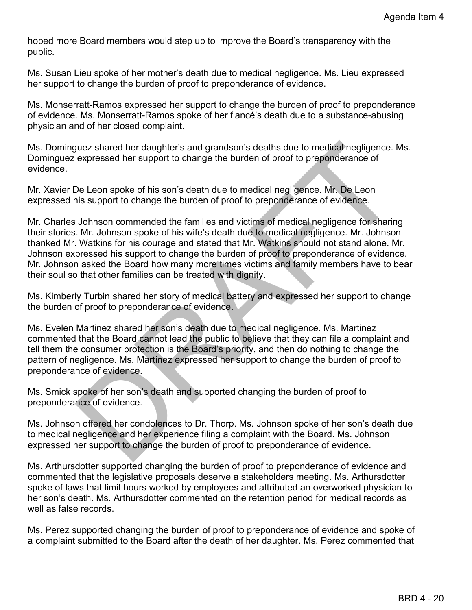hoped more Board members would step up to improve the Board's transparency with the public.

Ms. Susan Lieu spoke of her mother's death due to medical negligence. Ms. Lieu expressed her support to change the burden of proof to preponderance of evidence.

Ms. Monserratt-Ramos expressed her support to change the burden of proof to preponderance of evidence. Ms. Monserratt-Ramos spoke of her fiancé's death due to a substance-abusing physician and of her closed complaint.

Ms. Dominguez shared her daughter's and grandson's deaths due to medical negligence. Ms. Dominguez expressed her support to change the burden of proof to preponderance of evidence.

Mr. Xavier De Leon spoke of his son's death due to medical negligence. Mr. De Leon expressed his support to change the burden of proof to preponderance of evidence.

ylez shared her daughter's and grandson's deaths due to medical negligence. Ms.<br>expressed her support to change the burden of proof to preponderance of<br>De Leon spoke of his son's death due to medical negligence. Mr. De Leo Mr. Charles Johnson commended the families and victims of medical negligence for sharing their stories. Mr. Johnson spoke of his wife's death due to medical negligence. Mr. Johnson thanked Mr. Watkins for his courage and stated that Mr. Watkins should not stand alone. Mr. Johnson expressed his support to change the burden of proof to preponderance of evidence. Mr. Johnson asked the Board how many more times victims and family members have to bear their soul so that other families can be treated with dignity.

Ms. Kimberly Turbin shared her story of medical battery and expressed her support to change the burden of proof to preponderance of evidence.

Ms. Evelen Martinez shared her son's death due to medical negligence. Ms. Martinez commented that the Board cannot lead the public to believe that they can file a complaint and tell them the consumer protection is the Board's priority, and then do nothing to change the pattern of negligence. Ms. Martinez expressed her support to change the burden of proof to preponderance of evidence.

Ms. Smick spoke of her son's death and supported changing the burden of proof to preponderance of evidence.

Ms. Johnson offered her condolences to Dr. Thorp. Ms. Johnson spoke of her son's death due to medical negligence and her experience filing a complaint with the Board. Ms. Johnson expressed her support to change the burden of proof to preponderance of evidence.

Ms. Arthursdotter supported changing the burden of proof to preponderance of evidence and commented that the legislative proposals deserve a stakeholders meeting. Ms. Arthursdotter spoke of laws that limit hours worked by employees and attributed an overworked physician to her son's death. Ms. Arthursdotter commented on the retention period for medical records as well as false records.

Ms. Perez supported changing the burden of proof to preponderance of evidence and spoke of a complaint submitted to the Board after the death of her daughter. Ms. Perez commented that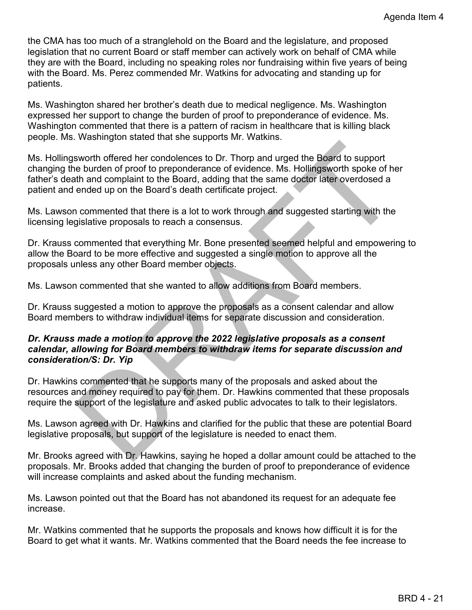the CMA has too much of a stranglehold on the Board and the legislature, and proposed legislation that no current Board or staff member can actively work on behalf of CMA while they are with the Board, including no speaking roles nor fundraising within five years of being with the Board. Ms. Perez commended Mr. Watkins for advocating and standing up for patients.

Ms. Washington shared her brother's death due to medical negligence. Ms. Washington expressed her support to change the burden of proof to preponderance of evidence. Ms. Washington commented that there is a pattern of racism in healthcare that is killing black people. Ms. Washington stated that she supports Mr. Watkins.

sworth offered her condolences to Dr. Thorp and urged the Board to support<br>e burden of proof to preponderance of evidence. Ms. Hollingsworth spoke of her<br>than ad complaint to the Board, adding that the same doctor later ov Ms. Hollingsworth offered her condolences to Dr. Thorp and urged the Board to support changing the burden of proof to preponderance of evidence. Ms. Hollingsworth spoke of her father's death and complaint to the Board, adding that the same doctor later overdosed a patient and ended up on the Board's death certificate project.

Ms. Lawson commented that there is a lot to work through and suggested starting with the licensing legislative proposals to reach a consensus.

Dr. Krauss commented that everything Mr. Bone presented seemed helpful and empowering to allow the Board to be more effective and suggested a single motion to approve all the proposals unless any other Board member objects.

Ms. Lawson commented that she wanted to allow additions from Board members.

Dr. Krauss suggested a motion to approve the proposals as a consent calendar and allow Board members to withdraw individual items for separate discussion and consideration.

## *Dr. Krauss made a motion to approve the 2022 legislative proposals as a consent calendar, allowing for Board members to withdraw items for separate discussion and consideration/S: Dr. Yip*

Dr. Hawkins commented that he supports many of the proposals and asked about the resources and money required to pay for them. Dr. Hawkins commented that these proposals require the support of the legislature and asked public advocates to talk to their legislators.

Ms. Lawson agreed with Dr. Hawkins and clarified for the public that these are potential Board legislative proposals, but support of the legislature is needed to enact them.

Mr. Brooks agreed with Dr. Hawkins, saying he hoped a dollar amount could be attached to the proposals. Mr. Brooks added that changing the burden of proof to preponderance of evidence will increase complaints and asked about the funding mechanism.

Ms. Lawson pointed out that the Board has not abandoned its request for an adequate fee increase.

Mr. Watkins commented that he supports the proposals and knows how difficult it is for the Board to get what it wants. Mr. Watkins commented that the Board needs the fee increase to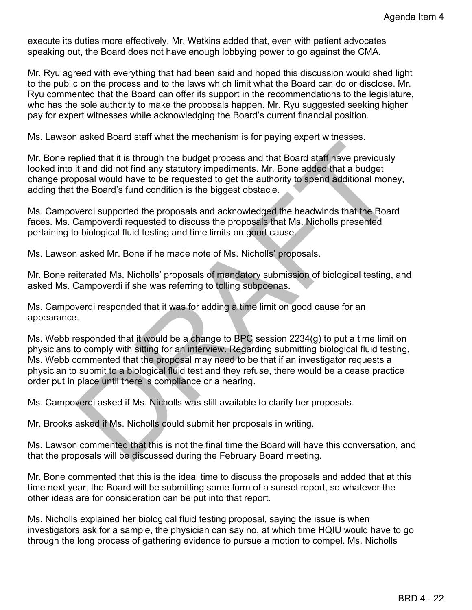execute its duties more effectively. Mr. Watkins added that, even with patient advocates speaking out, the Board does not have enough lobbying power to go against the CMA.

Mr. Ryu agreed with everything that had been said and hoped this discussion would shed light to the public on the process and to the laws which limit what the Board can do or disclose. Mr. Ryu commented that the Board can offer its support in the recommendations to the legislature, who has the sole authority to make the proposals happen. Mr. Ryu suggested seeking higher pay for expert witnesses while acknowledging the Board's current financial position.

Ms. Lawson asked Board staff what the mechanism is for paying expert witnesses.

Mr. Bone replied that it is through the budget process and that Board staff have previously looked into it and did not find any statutory impediments. Mr. Bone added that a budget change proposal would have to be requested to get the authority to spend additional money, adding that the Board's fund condition is the biggest obstacle.

Ms. Campoverdi supported the proposals and acknowledged the headwinds that the Board faces. Ms. Campoverdi requested to discuss the proposals that Ms. Nicholls presented pertaining to biological fluid testing and time limits on good cause.

Ms. Lawson asked Mr. Bone if he made note of Ms. Nicholls' proposals.

Mr. Bone reiterated Ms. Nicholls' proposals of mandatory submission of biological testing, and asked Ms. Campoverdi if she was referring to tolling subpoenas.

Ms. Campoverdi responded that it was for adding a time limit on good cause for an appearance.

plied that it is through the budget process and that Board staff have previously<br>tit and did not find any statutory impediments. Mr. Bone added that a budget<br>than did not find any statutory impediments. Mr. Bone added that Ms. Webb responded that it would be a change to BPC session 2234(g) to put a time limit on physicians to comply with sitting for an interview. Regarding submitting biological fluid testing, Ms. Webb commented that the proposal may need to be that if an investigator requests a physician to submit to a biological fluid test and they refuse, there would be a cease practice order put in place until there is compliance or a hearing.

Ms. Campoverdi asked if Ms. Nicholls was still available to clarify her proposals.

Mr. Brooks asked if Ms. Nicholls could submit her proposals in writing.

Ms. Lawson commented that this is not the final time the Board will have this conversation, and that the proposals will be discussed during the February Board meeting.

Mr. Bone commented that this is the ideal time to discuss the proposals and added that at this time next year, the Board will be submitting some form of a sunset report, so whatever the other ideas are for consideration can be put into that report.

Ms. Nicholls explained her biological fluid testing proposal, saying the issue is when investigators ask for a sample, the physician can say no, at which time HQIU would have to go through the long process of gathering evidence to pursue a motion to compel. Ms. Nicholls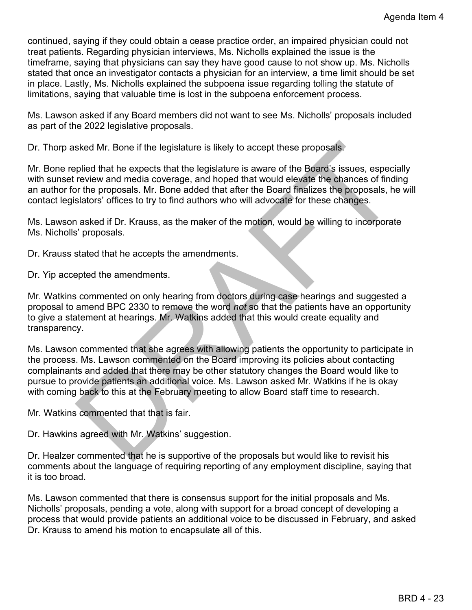continued, saying if they could obtain a cease practice order, an impaired physician could not treat patients. Regarding physician interviews, Ms. Nicholls explained the issue is the timeframe, saying that physicians can say they have good cause to not show up. Ms. Nicholls stated that once an investigator contacts a physician for an interview, a time limit should be set in place. Lastly, Ms. Nicholls explained the subpoena issue regarding tolling the statute of limitations, saying that valuable time is lost in the subpoena enforcement process.

Ms. Lawson asked if any Board members did not want to see Ms. Nicholls' proposals included as part of the 2022 legislative proposals.

Dr. Thorp asked Mr. Bone if the legislature is likely to accept these proposals.

Mr. Bone replied that he expects that the legislature is aware of the Board's issues, especially with sunset review and media coverage, and hoped that would elevate the chances of finding an author for the proposals. Mr. Bone added that after the Board finalizes the proposals, he will contact legislators' offices to try to find authors who will advocate for these changes.

Ms. Lawson asked if Dr. Krauss, as the maker of the motion, would be willing to incorporate Ms. Nicholls' proposals.

Dr. Krauss stated that he accepts the amendments.

Dr. Yip accepted the amendments.

Mr. Watkins commented on only hearing from doctors during case hearings and suggested a proposal to amend BPC 2330 to remove the word *not* so that the patients have an opportunity to give a statement at hearings. Mr. Watkins added that this would create equality and transparency.

sked Mr. Bone if the legislature is likely to accept these proposals.<br>
splied that he expects that the legislature is aware of the Board's issues, especially<br>
review and media coverage, and hoped that which dievald referan Ms. Lawson commented that she agrees with allowing patients the opportunity to participate in the process. Ms. Lawson commented on the Board improving its policies about contacting complainants and added that there may be other statutory changes the Board would like to pursue to provide patients an additional voice. Ms. Lawson asked Mr. Watkins if he is okay with coming back to this at the February meeting to allow Board staff time to research.

Mr. Watkins commented that that is fair.

Dr. Hawkins agreed with Mr. Watkins' suggestion.

Dr. Healzer commented that he is supportive of the proposals but would like to revisit his comments about the language of requiring reporting of any employment discipline, saying that it is too broad.

Ms. Lawson commented that there is consensus support for the initial proposals and Ms. Nicholls' proposals, pending a vote, along with support for a broad concept of developing a process that would provide patients an additional voice to be discussed in February, and asked Dr. Krauss to amend his motion to encapsulate all of this.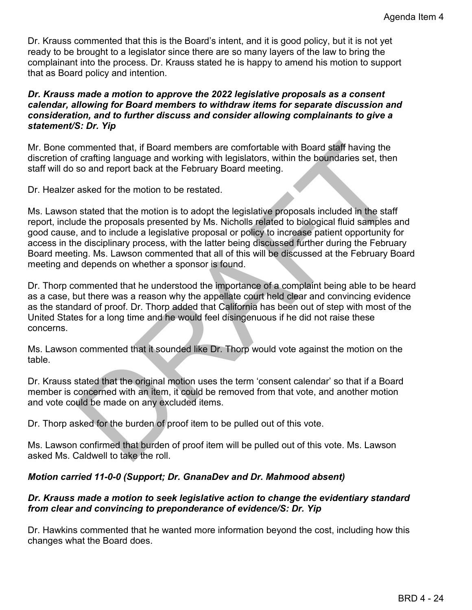Dr. Krauss commented that this is the Board's intent, and it is good policy, but it is not yet ready to be brought to a legislator since there are so many layers of the law to bring the complainant into the process. Dr. Krauss stated he is happy to amend his motion to support that as Board policy and intention.

### *Dr. Krauss made a motion to approve the 2022 legislative proposals as a consent calendar, allowing for Board members to withdraw items for separate discussion and consideration, and to further discuss and consider allowing complainants to give a statement/S: Dr. Yip*

Mr. Bone commented that, if Board members are comfortable with Board staff having the discretion of crafting language and working with legislators, within the boundaries set, then staff will do so and report back at the February Board meeting.

Dr. Healzer asked for the motion to be restated.

mmented that, if Board members are comfortable with Board staff having the<br>forarting language and working with legislators, within the boundaries set, then<br>foraring language and working with legislators, within the boundar Ms. Lawson stated that the motion is to adopt the legislative proposals included in the staff report, include the proposals presented by Ms. Nicholls related to biological fluid samples and good cause, and to include a legislative proposal or policy to increase patient opportunity for access in the disciplinary process, with the latter being discussed further during the February Board meeting. Ms. Lawson commented that all of this will be discussed at the February Board meeting and depends on whether a sponsor is found.

Dr. Thorp commented that he understood the importance of a complaint being able to be heard as a case, but there was a reason why the appellate court held clear and convincing evidence as the standard of proof. Dr. Thorp added that California has been out of step with most of the United States for a long time and he would feel disingenuous if he did not raise these concerns.

Ms. Lawson commented that it sounded like Dr. Thorp would vote against the motion on the table.

Dr. Krauss stated that the original motion uses the term 'consent calendar' so that if a Board member is concerned with an item, it could be removed from that vote, and another motion and vote could be made on any excluded items.

Dr. Thorp asked for the burden of proof item to be pulled out of this vote.

Ms. Lawson confirmed that burden of proof item will be pulled out of this vote. Ms. Lawson asked Ms. Caldwell to take the roll.

## *Motion carried 11-0-0 (Support; Dr. GnanaDev and Dr. Mahmood absent)*

## *Dr. Krauss made a motion to seek legislative action to change the evidentiary standard from clear and convincing to preponderance of evidence/S: Dr. Yip*

Dr. Hawkins commented that he wanted more information beyond the cost, including how this changes what the Board does.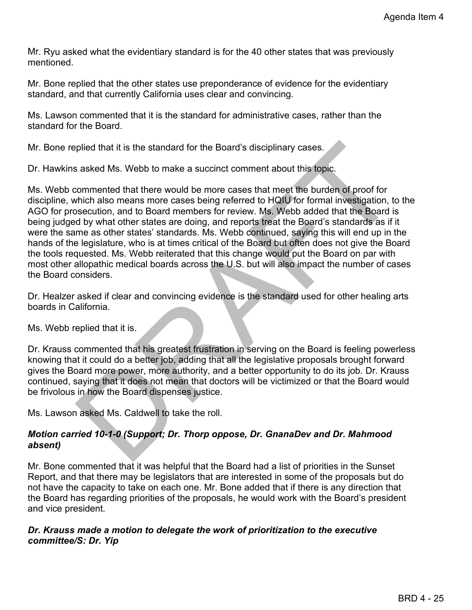Mr. Ryu asked what the evidentiary standard is for the 40 other states that was previously mentioned.

Mr. Bone replied that the other states use preponderance of evidence for the evidentiary standard, and that currently California uses clear and convincing.

Ms. Lawson commented that it is the standard for administrative cases, rather than the standard for the Board.

Mr. Bone replied that it is the standard for the Board's disciplinary cases.

Dr. Hawkins asked Ms. Webb to make a succinct comment about this topic.

plied that it is the standard for the Board's disciplinary cases.<br>
saked Ms. Webb to make a succinct comment about this topic.<br>
commented that there would be more cases that meet the burden of proof for<br>
commented that the Ms. Webb commented that there would be more cases that meet the burden of proof for discipline, which also means more cases being referred to HQIU for formal investigation, to the AGO for prosecution, and to Board members for review. Ms. Webb added that the Board is being judged by what other states are doing, and reports treat the Board's standards as if it were the same as other states' standards. Ms. Webb continued, saying this will end up in the hands of the legislature, who is at times critical of the Board but often does not give the Board the tools requested. Ms. Webb reiterated that this change would put the Board on par with most other allopathic medical boards across the U.S. but will also impact the number of cases the Board considers.

Dr. Healzer asked if clear and convincing evidence is the standard used for other healing arts boards in California.

Ms. Webb replied that it is.

Dr. Krauss commented that his greatest frustration in serving on the Board is feeling powerless knowing that it could do a better job, adding that all the legislative proposals brought forward gives the Board more power, more authority, and a better opportunity to do its job. Dr. Krauss continued, saying that it does not mean that doctors will be victimized or that the Board would be frivolous in how the Board dispenses justice.

Ms. Lawson asked Ms. Caldwell to take the roll.

# *Motion carried 10-1-0 (Support; Dr. Thorp oppose, Dr. GnanaDev and Dr. Mahmood absent)*

Mr. Bone commented that it was helpful that the Board had a list of priorities in the Sunset Report, and that there may be legislators that are interested in some of the proposals but do not have the capacity to take on each one. Mr. Bone added that if there is any direction that the Board has regarding priorities of the proposals, he would work with the Board's president and vice president.

## *Dr. Krauss made a motion to delegate the work of prioritization to the executive committee/S: Dr. Yip*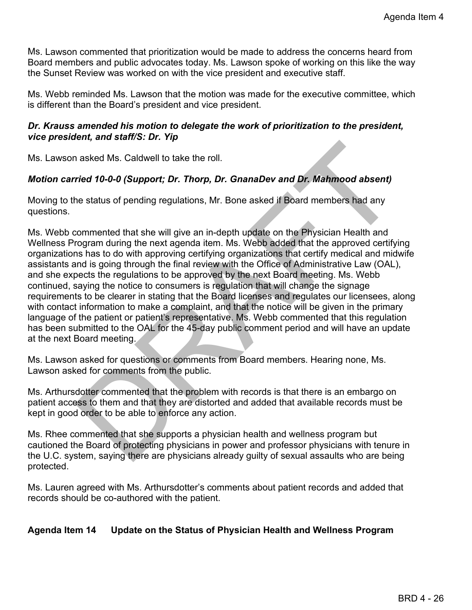Ms. Lawson commented that prioritization would be made to address the concerns heard from Board members and public advocates today. Ms. Lawson spoke of working on this like the way the Sunset Review was worked on with the vice president and executive staff.

Ms. Webb reminded Ms. Lawson that the motion was made for the executive committee, which is different than the Board's president and vice president.

## *Dr. Krauss amended his motion to delegate the work of prioritization to the president, vice president, and staff/S: Dr. Yip*

Ms. Lawson asked Ms. Caldwell to take the roll.

# *Motion carried 10-0-0 (Support; Dr. Thorp, Dr. GnanaDev and Dr. Mahmood absent)*

Moving to the status of pending regulations, Mr. Bone asked if Board members had any questions.

nia asked Ms. Caldwell to take the roll.<br>
Tried 10-0-0 (Support; Dr. Thorp, Dr. GnanaDev and Dr. Mahmood absent)<br>
Tried 10-0-0 (Support; Dr. Thorp, Dr. GnanaDev and Dr. Mahmood absent)<br>
The status of pending regulations, M Ms. Webb commented that she will give an in-depth update on the Physician Health and Wellness Program during the next agenda item. Ms. Webb added that the approved certifying organizations has to do with approving certifying organizations that certify medical and midwife assistants and is going through the final review with the Office of Administrative Law (OAL), and she expects the regulations to be approved by the next Board meeting. Ms. Webb continued, saying the notice to consumers is regulation that will change the signage requirements to be clearer in stating that the Board licenses and regulates our licensees, along with contact information to make a complaint, and that the notice will be given in the primary language of the patient or patient's representative. Ms. Webb commented that this regulation has been submitted to the OAL for the 45-day public comment period and will have an update at the next Board meeting.

Ms. Lawson asked for questions or comments from Board members. Hearing none, Ms. Lawson asked for comments from the public.

Ms. Arthursdotter commented that the problem with records is that there is an embargo on patient access to them and that they are distorted and added that available records must be kept in good order to be able to enforce any action.

Ms. Rhee commented that she supports a physician health and wellness program but cautioned the Board of protecting physicians in power and professor physicians with tenure in the U.C. system, saying there are physicians already guilty of sexual assaults who are being protected.

Ms. Lauren agreed with Ms. Arthursdotter's comments about patient records and added that records should be co-authored with the patient.

## **Agenda Item 14 Update on the Status of Physician Health and Wellness Program**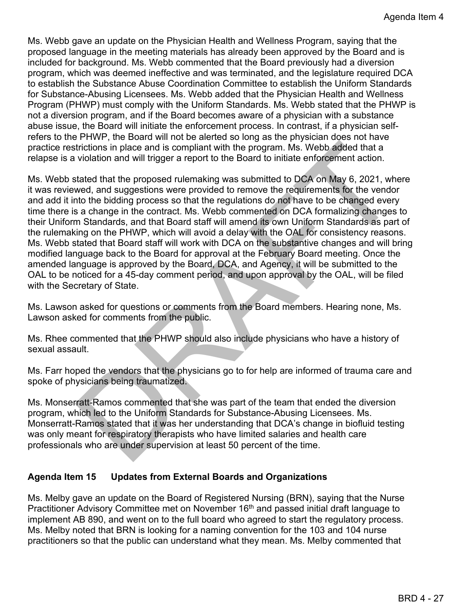Ms. Webb gave an update on the Physician Health and Wellness Program, saying that the proposed language in the meeting materials has already been approved by the Board and is included for background. Ms. Webb commented that the Board previously had a diversion program, which was deemed ineffective and was terminated, and the legislature required DCA to establish the Substance Abuse Coordination Committee to establish the Uniform Standards for Substance-Abusing Licensees. Ms. Webb added that the Physician Health and Wellness Program (PHWP) must comply with the Uniform Standards. Ms. Webb stated that the PHWP is not a diversion program, and if the Board becomes aware of a physician with a substance abuse issue, the Board will initiate the enforcement process. In contrast, if a physician selfrefers to the PHWP, the Board will not be alerted so long as the physician does not have practice restrictions in place and is compliant with the program. Ms. Webb added that a relapse is a violation and will trigger a report to the Board to initiate enforcement action.

trictions in place and is compliant with the program. Ms. Webb added that a<br>violation and will trigger a report to the Board to initiate enforcement action.<br>tated that the proposed rulemaking was submitted to DCA on May 6, Ms. Webb stated that the proposed rulemaking was submitted to DCA on May 6, 2021, where it was reviewed, and suggestions were provided to remove the requirements for the vendor and add it into the bidding process so that the regulations do not have to be changed every time there is a change in the contract. Ms. Webb commented on DCA formalizing changes to their Uniform Standards, and that Board staff will amend its own Uniform Standards as part of the rulemaking on the PHWP, which will avoid a delay with the OAL for consistency reasons. Ms. Webb stated that Board staff will work with DCA on the substantive changes and will bring modified language back to the Board for approval at the February Board meeting. Once the amended language is approved by the Board, DCA, and Agency, it will be submitted to the OAL to be noticed for a 45-day comment period, and upon approval by the OAL, will be filed with the Secretary of State.

Ms. Lawson asked for questions or comments from the Board members. Hearing none, Ms. Lawson asked for comments from the public.

Ms. Rhee commented that the PHWP should also include physicians who have a history of sexual assault.

Ms. Farr hoped the vendors that the physicians go to for help are informed of trauma care and spoke of physicians being traumatized.

Ms. Monserratt-Ramos commented that she was part of the team that ended the diversion program, which led to the Uniform Standards for Substance-Abusing Licensees. Ms. Monserratt-Ramos stated that it was her understanding that DCA's change in biofluid testing was only meant for respiratory therapists who have limited salaries and health care professionals who are under supervision at least 50 percent of the time.

## **Agenda Item 15 Updates from External Boards and Organizations**

Ms. Melby gave an update on the Board of Registered Nursing (BRN), saying that the Nurse Practitioner Advisory Committee met on November 16<sup>th</sup> and passed initial draft language to implement AB 890, and went on to the full board who agreed to start the regulatory process. Ms. Melby noted that BRN is looking for a naming convention for the 103 and 104 nurse practitioners so that the public can understand what they mean. Ms. Melby commented that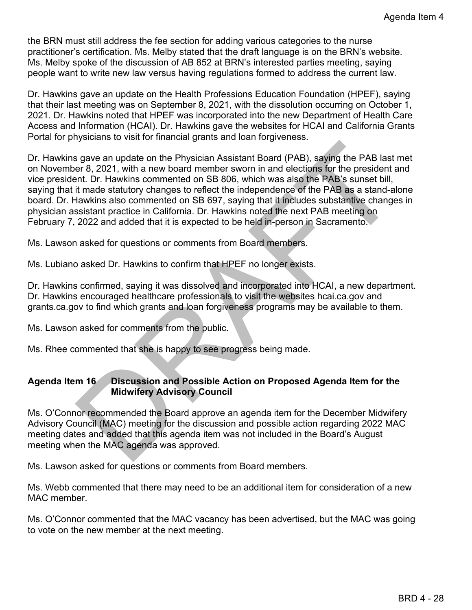the BRN must still address the fee section for adding various categories to the nurse practitioner's certification. Ms. Melby stated that the draft language is on the BRN's website. Ms. Melby spoke of the discussion of AB 852 at BRN's interested parties meeting, saying people want to write new law versus having regulations formed to address the current law.

Dr. Hawkins gave an update on the Health Professions Education Foundation (HPEF), saying that their last meeting was on September 8, 2021, with the dissolution occurring on October 1, 2021. Dr. Hawkins noted that HPEF was incorporated into the new Department of Health Care Access and Information (HCAI). Dr. Hawkins gave the websites for HCAI and California Grants Portal for physicians to visit for financial grants and loan forgiveness.

is gave an update on the Physician Assistant Board (PAB), saying the PAB last met<br>er 8, 2021, with a new board member sworn in and elections for the president and<br>ent. Dr. Hawkins commented on SB 806, which was alse the PA Dr. Hawkins gave an update on the Physician Assistant Board (PAB), saying the PAB last met on November 8, 2021, with a new board member sworn in and elections for the president and vice president. Dr. Hawkins commented on SB 806, which was also the PAB's sunset bill, saying that it made statutory changes to reflect the independence of the PAB as a stand-alone board. Dr. Hawkins also commented on SB 697, saying that it includes substantive changes in physician assistant practice in California. Dr. Hawkins noted the next PAB meeting on February 7, 2022 and added that it is expected to be held in-person in Sacramento.

Ms. Lawson asked for questions or comments from Board members.

Ms. Lubiano asked Dr. Hawkins to confirm that HPEF no longer exists.

Dr. Hawkins confirmed, saying it was dissolved and incorporated into HCAI, a new department. Dr. Hawkins encouraged healthcare professionals to visit the websites hcai.ca.gov and grants.ca.gov to find which grants and loan forgiveness programs may be available to them.

Ms. Lawson asked for comments from the public.

Ms. Rhee commented that she is happy to see progress being made.

# **Agenda Item 16 Discussion and Possible Action on Proposed Agenda Item for the Midwifery Advisory Council**

Ms. O'Connor recommended the Board approve an agenda item for the December Midwifery Advisory Council (MAC) meeting for the discussion and possible action regarding 2022 MAC meeting dates and added that this agenda item was not included in the Board's August meeting when the MAC agenda was approved.

Ms. Lawson asked for questions or comments from Board members.

Ms. Webb commented that there may need to be an additional item for consideration of a new MAC member.

Ms. O'Connor commented that the MAC vacancy has been advertised, but the MAC was going to vote on the new member at the next meeting.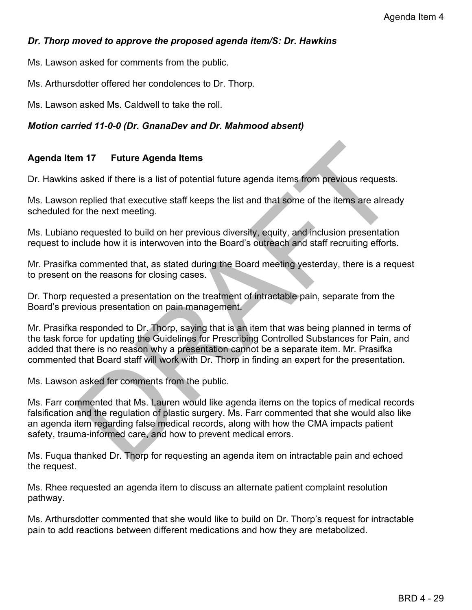# *Dr. Thorp moved to approve the proposed agenda item/S: Dr. Hawkins*

Ms. Lawson asked for comments from the public.

Ms. Arthursdotter offered her condolences to Dr. Thorp.

Ms. Lawson asked Ms. Caldwell to take the roll.

# *Motion carried 11-0-0 (Dr. GnanaDev and Dr. Mahmood absent)*

# **Agenda Item 17 Future Agenda Items**

Dr. Hawkins asked if there is a list of potential future agenda items from previous requests.

Ms. Lawson replied that executive staff keeps the list and that some of the items are already scheduled for the next meeting.

Ms. Lubiano requested to build on her previous diversity, equity, and inclusion presentation request to include how it is interwoven into the Board's outreach and staff recruiting efforts.

Mr. Prasifka commented that, as stated during the Board meeting yesterday, there is a request to present on the reasons for closing cases.

Dr. Thorp requested a presentation on the treatment of intractable pain, separate from the Board's previous presentation on pain management.

m 17 Future Agenda Items<br>saked if there is a list of potential future agenda items from previous requests.<br>In replied that executive staff keeps the list and that some of the items are already<br>or the next meeting.<br>Dequeste Mr. Prasifka responded to Dr. Thorp, saying that is an item that was being planned in terms of the task force for updating the Guidelines for Prescribing Controlled Substances for Pain, and added that there is no reason why a presentation cannot be a separate item. Mr. Prasifka commented that Board staff will work with Dr. Thorp in finding an expert for the presentation.

Ms. Lawson asked for comments from the public.

Ms. Farr commented that Ms. Lauren would like agenda items on the topics of medical records falsification and the regulation of plastic surgery. Ms. Farr commented that she would also like an agenda item regarding false medical records, along with how the CMA impacts patient safety, trauma-informed care, and how to prevent medical errors.

Ms. Fuqua thanked Dr. Thorp for requesting an agenda item on intractable pain and echoed the request.

Ms. Rhee requested an agenda item to discuss an alternate patient complaint resolution pathway.

Ms. Arthursdotter commented that she would like to build on Dr. Thorp's request for intractable pain to add reactions between different medications and how they are metabolized.